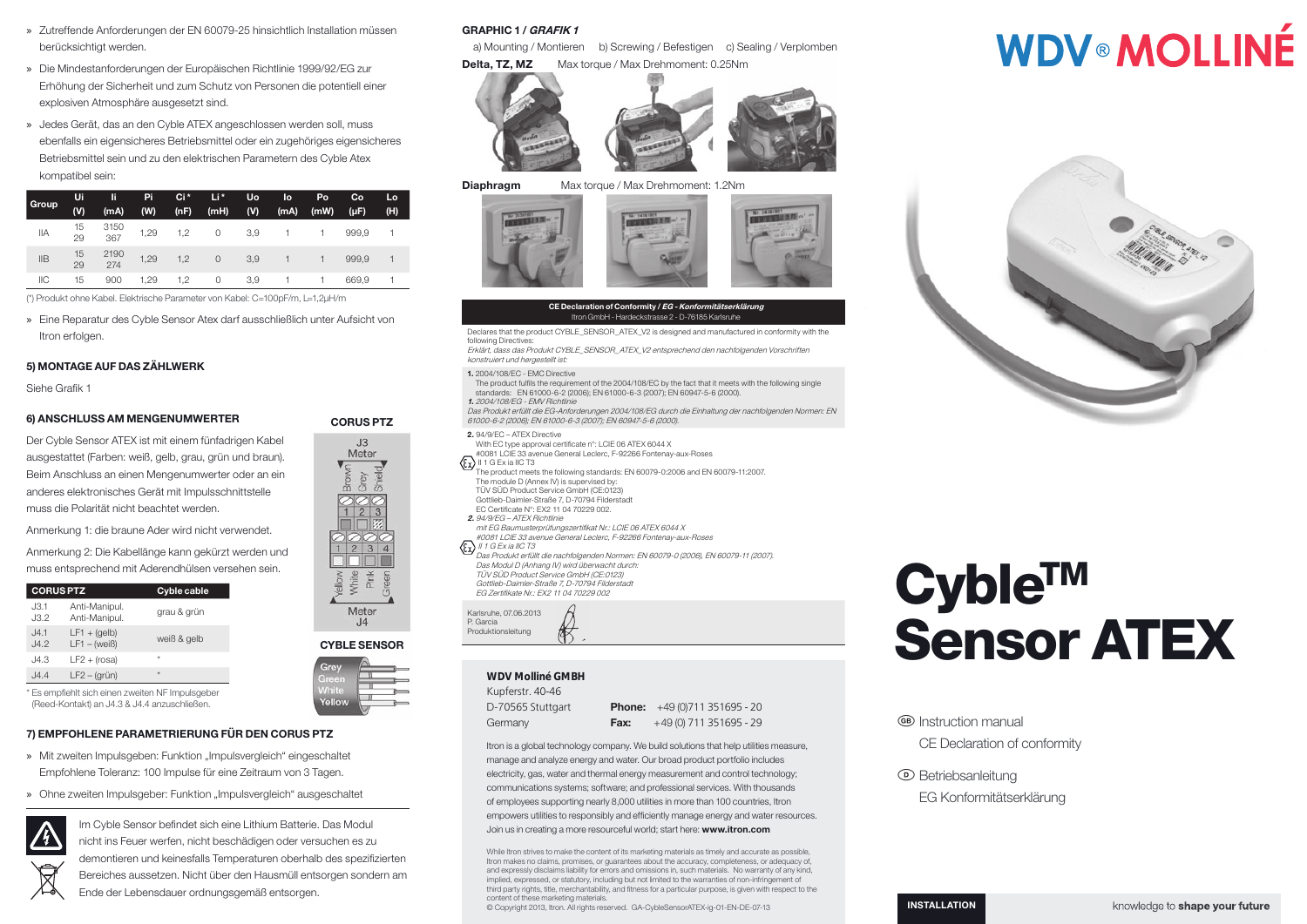- » Zutreffende Anforderungen der EN 60079-25 hinsichtlich Installation müssen berücksichtigt werden.
- » Die Mindestanforderungen der Europäischen Richtlinie 1999/92/EG zur Erhöhung der Sicherheit und zum Schutz von Personen die potentiell einer explosiven Atmosphäre ausgesetzt sind.
- » Jedes Gerät, das an den Cyble ATEX angeschlossen werden soll, muss ebenfalls ein eigensicheres Betriebsmittel oder ein zugehöriges eigensicheres Betriebsmittel sein und zu den elektrischen Parametern des Cyble Atex kompatibel sein:

| <b>Group</b> | Ui       | li          | Pi   | Ci*  | Li*     | Uo  | lo   | Po   | Co        | Lo  |
|--------------|----------|-------------|------|------|---------|-----|------|------|-----------|-----|
|              | (V)      | (mA)        | (W)  | (nF) | (mH)    | (V) | (mA) | (mW) | $(\mu F)$ | (H) |
| ΙIΑ          | 15<br>29 | 3150<br>367 | 1,29 | 1,2  | 0       | 3,9 |      |      | 999.9     |     |
| <b>IIB</b>   | 15<br>29 | 2190<br>274 | 1,29 | 1,2  | $\circ$ | 3,9 |      |      | 999.9     |     |
| <b>IIC</b>   | 15       | 900         | 1,29 | 1.2  | 0       | 3,9 |      |      | 669.9     |     |

(\*) Produkt ohne Kabel. Elektrische Parameter von Kabel: C=100pF/m, L=1,2μH/m

» Eine Reparatur des Cyble Sensor Atex darf ausschließlich unter Aufsicht von Itron erfolgen.

### 5) MONTAGE AUF DAS ZÄHLWERK

Siehe Grafik 1

#### 6) ANSCHLUSS AM MENGENUMWERTER

Der Cyble Sensor ATEX ist mit einem fünfadrigen Kabel ausgestattet (Farben: weiß, gelb, grau, grün und braun). Beim Anschluss an einen Mengenumwerter oder an ein anderes elektronisches Gerät mit Impulsschnittstelle muss die Polarität nicht beachtet werden.

Anmerkung 1: die braune Ader wird nicht verwendet.

Anmerkung 2: Die Kabellänge kann gekürzt werden und muss entsprechend mit Aderendhülsen versehen sein.

| <b>CORUS PTZ</b> |                                  | <b>Cyble cable</b> |
|------------------|----------------------------------|--------------------|
| J3.1<br>J3.2     | Anti-Manipul.<br>Anti-Manipul.   | grau & grün        |
| J4.1<br>,14.2    | $LF1 + (qelb)$<br>$LF1 - (weiß)$ | weiß & gelb        |
| J4.3             | $LF2 + (rosa)$                   | $\star$            |
| J4.4             | $LF2 - (grün)$                   | ÷                  |
|                  |                                  |                    |

\* Es empfiehlt sich einen zweiten NF Impulsgeber (Reed-Kontakt) an J4.3 & J4.4 anzuschließen.

#### 7) EMPFOHLENE PARAMETRIERUNG FÜR DEN CORUS PTZ

- » Mit zweiten Impulsgeben: Funktion "Impulsvergleich" eingeschaltet Empfohlene Toleranz: 100 Impulse für eine Zeitraum von 3 Tagen.
- » Ohne zweiten Impulsgeber: Funktion "Impulsvergleich" ausgeschaltet



Im Cyble Sensor befindet sich eine Lithium Batterie. Das Modul nicht ins Feuer werfen, nicht beschädigen oder versuchen es zu demontieren und keinesfalls Temperaturen oberhalb des spezifizierten Bereiches aussetzen. Nicht über den Hausmüll entsorgen sondern am Ende der Lebensdauer ordnungsgemäß entsorgen.

#### GRAPHIC 1 / GRAFIK 1

a) Mounting / Montieren b) Screwing / Befestigen c) Sealing / Verplomben Delta, TZ, MZ Max torque / Max Drehmoment: 0.25Nm







#### CE Declaration of Conformity / EG - Konformitätserklärung Itron GmbH - Hardeckstrasse 2 - D-76185 Karlsruhe

- Declares that the product CYBLE\_SENSOR\_ATEX\_V2 is designed and manufactured in conformity with the following Directives:
- Erklärt, dass das Produkt CYBLE\_SENSOR\_ATEX\_V2 entsprechend den nachfolgenden Vorschriften konstruiert und hergestellt ist:
- 1. 2004/108/EC EMC Directive
- The product fulfils the requirement of the 2004/108/EC by the fact that it meets with the following single standards: EN 61000-6-2 (2006); EN 61000-6-3 (2007); EN 60947-5-6 (2000). 1. 2004/108/EG - EMV Richtlinie
- Das Produkt erfüllt die EG-Anforderungen 2004/108/EG durch die Einhaltung der nachfolgenden Normen: EN 61000-6-2 (2006); EN 61000-6-3 (2007); EN 60947-5-6 (2000).
- 2. 94/9/EC ATEX Directive With EC type approval certificate n°: LCIE 06 ATEX 6044 X #0081 LCIE 33 avenue General Leclerc, F-92266 Fontenay-aux-Roses  $\langle \overline{\xi_{\mathbf{X}}} \rangle$  II 1 G Ex ia IIC T3 The product meets the following standards: EN 60079-0:2006 and EN 60079-11:2007. The module D (Annex IV) is supervised by: TÜV SÜD Product Service GmbH (CE:0123)
- Gottlieb-Daimler-Straße 7, D-70794 Filderstadt EC Certificate N°: EX2 11 04 70229 002
- 2. 94/9/EG ATEX Richtlinie
- mit EG Baumusterprüfungszertifikat Nr.: LCIE 06 ATEX 6044 X
- #0081 LCIE 33 avenue General Leclerc, F-92266 Fontenay-aux-Roses
- $\langle \xi_{\mathbf{X}} \rangle$  II 1 G Ex ia IIC T3

CORUS PTZ

 $.13$ Meter Grey  $\overline{5}$ 

CYBLE SENSOR

ś Meter  $J4$ 

Das Produkt erfüllt die nachfolgenden Normen: EN 60079-0 (2006), EN 60079-11 (2007). Das Modul D (Anhang IV) wird überwacht durch: TÜV SÜD Product Service GmbH (CE:0123) Gottlieb-Daimler-Straße 7, D-70794 Filderstadt EG Zertifikate Nr.: EX2 11 04 70220 002

Karlsruhe, 07.06.2013 P. Garcia Produktionsleitung

### **WDV Molliné GMBH**

Kupferstr. 40-46 D-70565 Stuttgart **Germany** 

Phone: +49 (0)711 351695 - 20 **Fax:**  $+49(0)$  711 351695 - 29

Itron is a global technology company. We build solutions that help utilities measure, manage and analyze energy and water. Our broad product portfolio includes electricity, gas, water and thermal energy measurement and control technology; communications systems; software; and professional services. With thousands of employees supporting nearly 8,000 utilities in more than 100 countries, Itron empowers utilities to responsibly and efficiently manage energy and water resources. Join us in creating a more resourceful world; start here: www.itron.com

While Itron strives to make the content of its marketing materials as timely and accurate as possible, Itron makes no claims, promises, or guarantees about the accuracy, completeness, or adequacy of, and expressly disclaims liability for errors and omissions in, such materials. No warranty of any kind, implied, expressed, or statutory, including but not limited to the warranties of non-infringement of third party rights, title, merchantability, and fitness for a particular purpose, is given with respect to the content of these marketing materials.

© Copyright 2013, Itron. All rights reserved. GA-CybleSensorATEX-ig-01-EN-DE-07-13

# **WDV®MOLLINÉ**



## Cyble™ Sensor ATEX

GB Instruction manual

CE Declaration of conformity

- D Betriebsanleitung
	- EG Konformitätserklärung

INSTALLATION